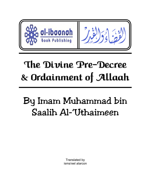

# The Divine Pre-Decree & Ordainment of Allaah

# By Imam Muhammad bin Saalih Al-'Uthaimeen

Translated by isma'eel alarcon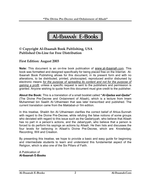

# **© Copyright Al-Ibaanah Book Publishing, USA Published On-Line for Free Distribution**

## **First Edition: August 2003**

**Note:** This document is an on-line book publication of www.al-ibaanah.com. This book was formatted and designed specifically for being placed free on the Internet. Al-Ibaanah Book Publishing allows for this document, in its present form and with no alterations, to be distributed, printed, photocopied, reproduced and/or disbursed by electronic means *for the purpose of spreading its content and not for the purpose of gaining a profit,* unless a specific request is sent to the publishers and permission is granted. Anyone wishing to quote from this document must give credit to the publisher.

**About the Book:** This is a translation of a small booklet called **"***Al-Qadaa wal-Qadar***"** (The Divine Pre-Decree and Ordainment of Allaah), which is a lecture from Imam Muhammad bin Saalih Al-'Uthaimeen that was later transcribed and published. The current translation came from the Maktabat-ul-'Ilm edition.

In this treatise, Shaikh Ibn Al-'Uthaimeen clarifies the correct belief of Ahlus-Sunnah with regard to the Divine Pre-Decree, while refuting the false notions of some groups who deviated with regard to this issue such as the Qadariyyah, who believe that Allaah has no part in a person's actions, and the Jabariyyah, who believe that a person is forced to do perform his sayings an actions by Allaah. He then lists and discusses the four levels for believing in Allaah's Divine Pre-Decree, which are: Knowledge, Recording, Will and Creation.

By presenting this treatise, we hope to provide a basic and easy guide for beginning and intermediate students to learn and understand this fundamental aspect of the Religion, which is also one of the Six Pillars of Faith.

A Publication of **Al-Ibaanah E-Books**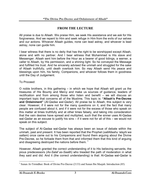# **FROM THE LECTURE**

All praise is due to Allaah. We praise Him, we seek His assistance and we ask for His forgiveness. And we repent to Him and seek refuge in Him from the evils of our selves and our actions. Whoever Allaah guides, none can lead astray, and whoever is lead astray, none can guide him.

I bear witness that there is no deity that has the right to be worshipped except Allaah, alone and with no partner. And I bear witness that Muhammad is His slave and Messenger. Allaah sent him before the Hour as a bearer of good tidings, a warner, a caller to Allaah, by His permission, and a shining light. So he conveyed the Message and fulfilled his trust. And he sincerely advised the ummah and struggled for the sake of Allaah truthfully, until death overtook him. So may Allaah send His peace and blessings upon him, his family, Companions, and whoever follows them in goodness until the Day of Judgement.

To Proceed:

O noble brothers, in this gathering – in which we hope that Allaah will grant us the treasures of His Bounty and Mercy and make us sources of guidance, leaders of rectification and from among those who listen and benefit  $-\overline{\phantom{a}}$  we will discuss an important topic that concerns all of the Muslims. This topic is: **"Allaah's Pre-Decree and Ordainment"** (*Al-Qadaa wal-Qadar*). All praise be to Allaah, this subject is very clear. However, if it were not for the many questions on it, and the fact that many people are confused about it, and if it were not for the excess of those who speak on this matter at times truthfully and at other times falsely, and taking into consideration that the vain desires have spread and multiplied, such that the sinner uses Al-Qadaa wal-Qadar as an excuse to justify his sins – if it were not for all of this – we would not speak on this subject.

The subject of Al-Qadaa wal-Qadar has always been an issue of debate within the ummah, past and present. It has been reported that the Prophet (*sallAllaahu 'alayhi wa sallam*) once came out to his Companions and found them arguing about the Divine Pre-Decree, so he forbade them from that and informed them that this kind of arguing and disagreeing destroyed the nations before them.<sup>1</sup>

However, Allaah granted the correct understanding of it to His believing servants, the pious predecessors (*As-Salaf as-Saalih*) who treaded the path of moderation in what they said and did. And it (the correct understanding) is that: Al-Qadaa wal-Qadar is

 $\overline{a}$ <sup>1</sup> Sunan At-Tirmidhee: Book of Divine Pre-Decree (2133) and Sunan Ibn Maajah: Introduction (85)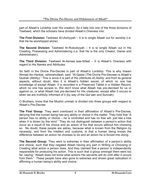part of Allaah's Lordship over His creation. So it falls into one of the three divisions of Tawheed, which the scholars have divided Allaah's Oneness into:

**The First Division:** Tawheed Al-Uluhiyyah – It is to single Allaah out for worship (i.e. that He be worshipped alone)

**The Second Division:** Tawheed Ar-Rububiyyah – It is to single Allaah out in His Creating, Possessing and Administering (i.e. that He is the only Creator, Owner and Administrator).

**The Third Division:** Tawheed Al-Asmaa was-Sifaat – It is Allaah's Oneness with regard to His Names and Attributes.

So faith in the Divine Pre-Decree is part of Allaah's Lordship. This is why Imaam Ahmad Ibn Hanbal, *rahimahullaah*, said: "Al-Qadar (The Divine Pre-Decree) is Allaah's Qudrah (Ability)." This is since it is part of His (Attribute of) Ability, and from its general aspects, without doubt. Also it is Allaah's hidden secret, of which no one has knowledge of except Allaah. It is recorded in a Preserved Tablet in a Hidden Record, which no one has access to. We don't know what Allaah has pre-decreed for us or against us, or what Allaah has pre-decreed for His creatures, except after it occurs or when we are truthfully informed of it (by way of the Qur'aan and Sunnah).

O Brothers, know that the Muslim ummah is divided into three groups with respect to Allaah's Pre-Decree:

**The First Group:** They went overboard in their affirmation of Allaah's Pre-Decree, denying that the human being has any ability or choice in the matter. They hold that "A person has no ability or choice – he is controlled and has no free will, just like a tree when it is blown by the wind." They do not distinguish between a person's action that occur as a result of his choice and an action of his that occurs without him choosing so. No doubt, these people are astray, because what is known from the Religion by necessity, and from the intellect and customs, is that a human being knows the difference between an action he chooses to do and an action he is forced into doing.

**The Second Group:** They went to extremes in their affirmation of a person's ability and choice, such that they negated Allaah having any part in Willing or Choosing or Creating what action a person does. And they claimed that a person is independently responsible for producing his action. This is such that a group amongst them went too far, saying: "Allaah does not know what actions His servants will do until after it occurs from them." These people have also gone to extremes and shown great radicalism in affirming a human being's ability and choice.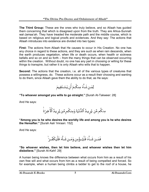**The Third Group:** These are the ones who truly believe, and so Allaah has guided them concerning that which is disagreed upon from the truth. They are Ahlus-Sunnah wal-Jamaa'ah. They have treaded the moderate path and the middle course, which is based on religious and logical proofs and evidences. And they say: The actions that Allaah introduces into existence are divided into two types:

**First:** The actions from Allaah that He causes to occur in His Creation. No one has any choice in regard to these actions, and they are such as when rain descends, when the earth produces vegetation, when life or death occurs, when health or sickness befalls and so on and so forth – from the many things that can be observed occurring within the creation. Without doubt, no one has any part in choosing or willing for these things to transpire, but rather it is only Allaah who wills that to happen.

**Second:** The actions that the creation, i.e. all of the various types of creatures that possess a willingness, do. These actions occur as a result their choosing and wanting to do them, since Allaah gave them the ability to do that, as He says:



**"To whoever amongst you wills to go straight."** [Surah At-Takweer: 28]

And He says:

مِنكُم مَّن يُريدُ ٱلدُّنۡيَا وَمِنكُم مَّن يُريدُ ٱلۡٱخِرَةَۚ

**"Among you is he who desires the worldly life and among you is he who desires the Hereafter."** [Surah Aali 'Imraan: 152]

And He says:

فَمَــن شَــآءَ فَلَيُــؤُمِن وَمَــن شَـآءَ فَلَيَـكُفُــرَ ۚ

**"So whoever wishes, then let him believe, and whoever wishes then let him disbelieve."** [Surah Al-Kahf: 29]

A human being knows the difference between what occurs from him as a result of his own free will and what occurs from him as a result of being compelled and forced. So for example, when a human being climbs a ladder to get to the roof of a house, he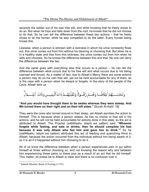ascends the ladder out of his own free will, and while knowing that he freely chose to do so. But when he trips and falls down from the roof, he knows that he did not choose to do that. So he can tell the difference between these two actions – that he freely chose to do the former, while he was compelled to do the latter. Every human being knows this.

Likewise, when a person is stricken with a sickness in which his urine constantly flows out, this urine comes out from him without his desiring or choosing that. But when he is in a healthy state and free from this sickness, the urine comes out from him when he wills and chooses. So he knows the difference between this and that. No one can deny the difference between the two.

And the same goes with everything else that occurs to a person – he can tell the difference between what occurs due to his free will and what occurs due to his being coerced and forced. As a matter of fact, due to Allaah's Mercy there are some actions a person may do on his own free will, yet not be held accountable for any of them, as is the case with a person when he sleeps or forgets. In the story of the people of the Cave, Allaah tells us:



#### **"And you would have thought them to be awake whereas they were asleep. And We turned them on their right and on their left sides."** [Surah Al-Kahf: 18]

They were the ones who turned around in their sleep, yet Allaah ascribes the action to Himself. This is because when a person sleeps, he has no choice or free will in his actions, and he will not be held accountable for actions done in this state, so the act is attributed to Allaah. The Prophet (*sallAllaahu 'alayhi wa sallam*) said: **"Whoever forgets while fasting, and eats or drinks, then he should complete his fast because it was only Allaah who fed him and gave him to drink."**<sup>2</sup> So he (*sallAllaahu 'alayhi wa sallam*) attributed this act of feeding and quenching thirst to Allaah, because the action occurred from the individual without him being aware of it, so it is as if it happened without him choosing to do it.

All of us know the difference between when a person experiences pain or joy within himself at times without choosing so, and not knowing the reason why and between him experiencing these pains or these joys as a result of an act that he did himself. This matter, all praise be to Allaah is clear and there is no confusion over it.

 $\overline{a}$ 

<sup>&</sup>lt;sup>2</sup> Saheeh Muslim: Book of Fasting (1155)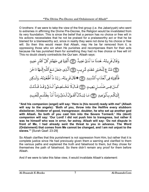O brothers: If we were to take the view of the first group (i.e. the Jabariyyah) who went to extremes in affirming the Divine Pre-Decree, the Religion would be invalidated from its very foundation. This is since the belief that a person has no choice or free will in his actions necessitates that he not be praised for a praiseworthy act or that he be blamed for a blameworthy act, since in reality they were not done by his choice or free will. So then this would mean that Allaah, may He be far removed from it, is oppressing those who sin when He punishes and recompenses them for their acts because He has punished them for something they had no free choice or free will in! This no doubt clearly contradicts the Qur'aan. Allaah says:

وَقَالَ قَرِينُهُۥ هَـٰذَا مَا لَدَىٌّ عَتِيدٌ ۞ أَلْقِيَا فِي جَهَنَّمَ كُلَّ كَفَّارٍ عَنِيدٍ ۞ مَّنَّاعٍ لِّلْخَيْرِ مُعْتَدٍ مُّرِيبٍ ۞ ٱلَّذِي جَعَلَ مَعَ ٱللَّهِ إِلَيْهَا ءَاخَرَ فَأَلْقِيَاهُ فِي ٱلْعَذَابِ ٱلشَّدِيدِ ١٤٣١﴾ قَالَ قَرِينُهُۥ رَبَّنَا مَاۤ أَطُغَيَّتُهُۥ وَلَـٰكِن كَـانَ فِـى ضَلَــٰلٍ بَعِيــٰدٍ ۞ قَـالَ لَا تَخُـتَصِمُواْ لَـدَىَّ وَقَـدُ قَـدَّمُتُ إِلَيْكُم بِٱلْوَعِيدِ ۞ مَا يُبَدَّلُ ٱلْقَـوَلُ لَـدَىَّ وَمَاۤ أَنَاْ بِظَلَّـٰمٍ لِّلْعَبِيدِ

**"And his companion (angel) will say: 'Here is (his record) ready with me!' (Allaah will say to the angels): 'Both of you, throw into the Hellfire every stubborn disbeliever, hinderer of good, transgressor, doubter, he who set up another god with Allaah. So both of you cast him into the Severe Torment.' His (devil) companion will say: 'Our Lord! I did not push him to transgress, but rather it was he himself who was in error, far astray. Allaah will say: 'Do not dispute in front of Me, I had already sent the threat to you in advance. The Word (Ordainment) that comes from Me cannot be changed, and I am not unjust to the slaves.'"** [Surah Qaaf: 23-29]

So Allaah clarifies that this punishment is not oppression from Him, but rather that it is complete justice since He had previously given them a warning and clarified to them the various paths and explained the truth and falsehood to them, but they chose for themselves the path of falsehood. So there didn't remain any proof for them before Allaah.

And if we were to take this false view, it would invalidate Allaah's statement: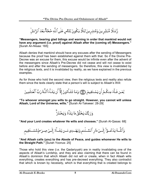رُّسُلًا مُّبَشِّر ينَ وَمُنذِرِ ينَ لِئَلَّا يَكُونَ لِلنَّاسِ عَلَى ٱللَّهِ حُجَّةٌ بَعَْدَ ٱلرُّسُلِّ

**"Messengers, bearing glad tidings and warning in order that mankind would not have any argument (i.e. proof) against Allaah after the (coming of) Messengers."**  [Surah An-Nisaa: 165]

Allaah denies that mankind should have any excuses after the sending of Messengers because the proof has been established against them with that. So if the Divine Pre-Decree was an excuse for them, this excuse would be infinite even after the advent of the messengers since Allaah's Pre-Decree did not cease and will not cease to exist before and after the sending of messengers. So therefore, this view is invalidated by the religious texts, and it is invalidated by reality, as we have explained in the previous examples.

As for those who hold the second view, then the religious texts and reality also refute them since the texts clearly state that a person's will is subject to Allaah's Will:



**"To whoever amongst you wills to go straight. However, you cannot will unless Allaah, Lord of the Universe, wills."** [Surah At-Takweer: 28-29]



**"And your Lord creates whatever He wills and chooses."** [Surah Al-Qasas: 68]

وَٱللَّــهُ يَدُعُـــوٓاْ إِلَـــىٰ دَارِ ٱلسَّــلَـٰـهِ وَيَهُــدِى مَــن يَشَــآءُ إِلَــىٰ صِــرَ طِمَّسًـــتَقِيمِ

### **"And Allaah calls (you) to the Abode of Peace, and guides whomever He wills to the Straight Path."** [Surah Yoonus: 25]

Those who hold this view (i.e. the Qadariyyah) are in reality invalidating one of the aspects of Allaah's Lordship, and they are also claiming that there can be found in Allaah's dominion that which Allaah did not will or create, when in fact Allaah wills everything, creates everything and has pre-decreed everything. They also contradict that which is known by necessity, which is that everything that is created belongs to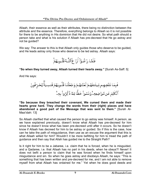Allaah, their essence as well as their attributes, there being no distinction between the attribute and the essence. Therefore, everything belongs to Allaah so it is not possible for there to be anything in His dominion that He did not desire. So what path should a person take and what is his solution if Allaah has pre-decreed that He go astray and not be guided?

We say: The answer to this is that Allaah only guides those who deserve to be guided, and He leads astray only those who deserve to be led astray. Allaah says:



**"So when they turned away, Allaah turned their hearts away."** [Surah As-Saff: 5]

And He says:

**"So because they breached their covenant, We cursed them and made their hearts grow hard. They change the words from their (right) places and have abandoned a good part of the Message that was sent to them."** [Surah Al-Maa'idah: 13]

So Allaah clarified that what caused the person to go astray was himself. A person, as we have explained previously, doesn't know what Allaah has pre-decreed for him since he doesn't know what has been pre-decreed until after it occurs. So he doesn't know if Allaah has decreed for him to be astray or guided. So if this is the case, how can he take the path of misguidance, then use as an excuse the argument that this is what Allaah willed for him? Wouldn't it be more befitting for him to tread the path of guidance and then say that Allah has guided me to the Straight Path?

Is it right for him to be a Jabaree, i.e. claim that he is forced, when he is misguided, and a Qadaree, i.e. that Allaah has no part in his deeds, when he obeys?! Never! II does not befit a person to claim that he was forced when he finds himself upon misguidance and sin. So when he goes astray and disobeys Allaah, he says: "This is something that has been written and pre-decreed for me, and I am not able to remove myself from what Allaah has ordained for me." Yet when he does good deeds and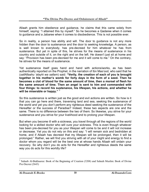Allaah grants him obedience and guidance, he claims that this came solely from himself, saying: "I attained this by myself." So he becomes a Qadaree when it comes to guidance and a Jabaree when it comes to disobedience. This is not possible ever.

So in reality, a person has ability and will. The door to guidance is not any more hidden than the door to sustenance and the door to seeking knowledge. A person, as is well known to everybody, has pre-decreed for him whatever he has from sustenance. But yet in spite of this, he strives for the means of sustenance in his country and outside of it, on the right and on the left. He doesn't just sit at home and say: "Provision has been pre-decreed for me and it will come to me." On the contrary, he strives for the means of sustenance.

Yet sustenance itself goes hand and hand with actions/works, as has been authentically reported on the Prophet, in the narration of Ibn Mas'ood, who said that he (*sallAllaahu 'alayhi wa sallam*) said: **"Verily, the creation of each of you is brought together in his mother's womb for forty days in the form of a seed. Then he becomes a clot of blood for the same amount of time, then a morsel of flesh for the same amount of time. Then an angel is sent to him and commanded with four things: to record his sustenance, his lifespan, his actions, and whether he**  will be miserable or happy."<sup>3</sup>

So this sustenance is written just as the good and evil actions are written. So how is it that you can go here and there, traversing land and sea, seeking the sustenance of the world and yet you don't perform any righteous deed seeking the sustenance of the Hereafter or the success of Paradise? Indeed, these two aspects are one and the same. There is no difference between the two of them. So likewise, you strive for your sustenance and you strive for your livelihood and to prolong your lifespan.

But when you become ill with a sickness, you travel through all the regions of the world looking for a skilled doctor who will cure your sickness. This is even though whatever has been pre-decreed for you as your lifespan will come to be and it will not increase or decrease. Yet you do not rely on this and say: "I will remain sick and bedridden at home, and if Allaah has decreed that my lifespan will be prolonged, then it will be prolonged." Rather, we will find you striving with all of your might and energy to find a doctor whom you regard will be the best one at whose hands Allaah will ordain your recovery. So why don't you do acts for the Hereafter and righteous deeds the same way you do acts for this worldly life?

 $\overline{a}$ 

<sup>3</sup> Saheeh Al-Bukhaaree: Book of the Beginning of Creation (3208) and Saheeh Muslim: Book of Divine Pre-Decree (2643)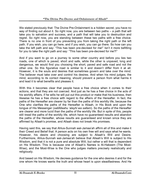We stated previously that: The Divine Pre-Ordainment is a hidden secret, you have no way of finding out about it. So right now, you are between two paths – a path that will take you to salvation and success, and a path that will take you to destruction and regret. So right now, you are standing between these two paths with a free choice. There is no one in front of you preventing you from taking the right path or the left path. If you wish, you can go here, and if you wish, you can go there. So how can you take the left path and say: "This has been pre-decreed for me!" Isn't it more befitting for you to take the right path and say: "This has been pre-decreed for me?!"

And if you want to go on a journey to some other country and before you lies two roads, one of which is paved, short and safe, while the other is unpaved, long and dangerous, we would find you choosing the short, paved and safe road and not the other one. So this figurative road is similar to it and doesn't differ from it at all. However, it is the souls and desires that sometimes govern and take over the mind. The believer must take over and control his desires. And when his mind judges, the mind, according to its correct meaning, should prevent a person from what harms it and lead it to what benefits and pleases it.

With this it becomes clear that people have a free choice when it comes to their actions, and that they are not coerced. And just as he has a free choice in the acts of his worldly affairs, if he wills he will put out this product or make that his business, then likewise he has a free choice with regard to the affairs of the Hereafter. In fact, the paths of the Hereafter are clearer by far than the paths of this worldly life, because the One who clarifies the paths of the Hereafter is Allaah, in His Book and upon the tongue of His Messenger (*sallAllaahu 'alayhi wa sallam*). So the paths of the Hereafter are clearer and more lucid than the paths of the worldly life. But in spite of this, people still tread the paths of the worldly life, which have no guaranteed results and abandon the paths of the Hereafter, whose results are guaranteed and known since they are affirmed by Allaah's promise, and Allaah does not break His promises.

Having said this, we say that Ahlus-Sunnah wal-Jamaa'ah affirm all of this and make it their Creed and Belief that: A person acts on his own free will and says what he wants. However, his desire and choosing are subject to Allaah's Will and Desire. Furthermore, Ahlus-Sunnah wal-Jamaa'ah believe that Allaah's Will is subject to His Wisdom, and that it is not a pure and absolute Will, but rather a will that is dependent on His Wisdom. This is because one of Allaah's Names is Al-Hakeem (The Most-Wise), and the Most-Wise is the One who judges matters precisely realistically and religiously.

And based on His Wisdom, He decrees guidance for the one who desires it and for the one whom He knows wants the truth and whose heart is upon steadfastness. And He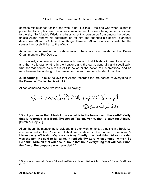decrees misguidance for the one who is not like this – the one who when Islaam is presented to him, his heart becomes constricted as if he were being forced to ascend to the sky. So Allaah's Wisdom refuses to let this person be from among the guided, unless Allaah renews his determination for him and changes his desire to another desire. And Allaah is Able to do all things. However, Allaah's Wisdom insists that the causes be closely linked to the effects.

According to Ahlus-Sunnah wal-Jamaa'ah, there are four levels to the Divine Ordainment and Pre-Decree:

**1. Knowledge:** A person must believe with firm faith that Allaah is Aware of everything and that He knows what is in the heavens and the earth, generally and specifically, whether that comes as a result of His action or the action of His creations. And he must believe that nothing in the heaven or the earth remains hidden from Him.

**2. Recording:** He must believe that Allaah recorded the pre-decree of everything in the Preserved Tablet that is with Him.

Allaah combined these two levels in His saying:

**"Don't you know that Allaah knows what is in the heaven and the earth? Verily, that is recorded in a Book (Preserved Tablet). Verily, that is easy for Allaah."** [Surah Al-Hajj: 70]

Allaah began by mentioning knowledge and then went on to say that it is in a Book, i.e. it is recorded in the Preserved Tablet, as is stated in the hadeeth from Allaah's Messenger (*sallAllaahu 'alayhi wa sallam*): **"Verily, the first thing Allaah created was the pen. He said to it: 'Write.' It replied: 'My Lord, what should I write?' So He said: 'Write all that will occur.' So in that hour, everything that will occur until the Day of Recompense was recorded."** <sup>4</sup>

 $\overline{a}$ 

<sup>4</sup> Sunan Abu Dawood: Book of Sunnah (4700) and Sunan At-Tirmidhee: Book of Divine Pre-Decree (2155)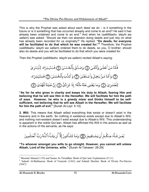This is why the Prophet was asked about each deed we do  $-$  is it something in the future or is it something that has occurred already and come to an end? He said it has already been ordained and come to an end.<sup>5</sup> And when he (*sallAllaahu 'alayhi wa sallam*) was asked: "Should we then not abandon doing deeds and just rely on what has already been recorded for us originally?" He replied: **"Do deeds, for everyone will be facilitated to do that which he was created for."**<sup>6</sup> Therefore, the Prophet (*sallAllaahu 'alayhi wa sallam*) ordered them to do deeds, so you, O brother, should also do deeds and you will be facilitated to do that which you were created for.

Then the Prophet (*sallAllaahu 'alayhi wa sallam*) recited Allaah's saying:

فَأَمَّا مَنُ أَعُطَىٰ وَٱتَّقَىٰ ۞ وَصَدَّقَ بِٱلْحُسُنَىٰ ۞ فَسَنُيَسِّرُهُۥ لِلْيُسُرَىٰ ۞ وَأَمَّا مَنْ بَخِـلَ وَٱسۡـتَغۡنَىٰ۞ وَكَذَّبَ بِٱلۡحُسۡنَىٰ۞ فَسَنُيَسِّرُهُۥ لِلْعُسُرَىٰ ۞ وَمَا يُغۡنِي عَنۡهُ مَالُهُۥٓ إِذَا تَرَدَّىٰٓ ۞ إِنَّ عَلَيۡنَا لَلۡهُدَىٰ ۞

**"As for he who gives in charity and keeps his duty to Allaah, fearing Him and believing that he will see Him in the Hereafter, We will facilitate for him the path of ease. However, he who is a greedy miser and thinks himself to be selfsufficient, not believing that he will see Allaah in the Hereafter, We will facilitate for him the path of evil."** [Surah Al-Layl: 5-10]

**3. Will:** This means that Allaah willed everything that exists or doesn't exist in the heavens and in the earth. So nothing in existence exists except due to Allaah's Will, and nothing non-existent doesn't exist except due to Allaah's Will. This understanding is apparent in the noble Qur'aan. Allaah has affirmed His Will in His actions as well as in the actions of His servants, as He says:

**"To whoever amongst you wills to go straight. However, you cannot will unless Allaah, Lord of the Universe, wills."** [Surah At-Takweer: 28-29]

 5 Musnad Ahmad (1/29) and Sunan At-Tirmidhee: Book of Qur'anic Explanation (3111)

<sup>6</sup> Saheeh Al-Bukhaaree: Book of Funerals (1362) and Saheeh Muslim: Book of Divine Pre-Decree (2647)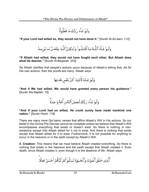وَلَوْ شَآءَ رَبُّكَ مَا فَعَلُوةٌ ۖ

**"If your Lord had willed so, they would not have done it."** [Surah Al-An'aam: 112]

وَلَـوٌ شَـآءَ ٱللَّـهُ مَـا ٱقْتَتَلُـواْ وَلَـٰكِـنَّ ٱللَّـهَ يَفْعَـلُ مَـا يُرِيـدُ

**"If Allaah had willed, they would not have fought each other. But Allaah does what He desires."** [Surah Al-Baqarah: 253]

Sa Allaah clarifies that people's actions occur because of Allaah's willing that. As for His own actions, then the proofs are many. Allaah says:



**"And if We had willed, We would have granted every person his guidance."** [Surah Als-Sajdah: 13]

وَلَوْ شَأْءَ رَبُّكَ لَجَعَلَ ٱلنَّاسَ أُمَّةً وَاحِدَةً ۖ

**"And if your Lord had so willed, He could surely have made mankind one nation."** [Surah Hood: 118]

There are many more Qur'aanic verses that affirm Allaah's Will in His actions. So our belief in the Divine Pre-Decree cannot be complete unless we believe that Allaah's Will encompasses everything that exists or doesn't exist. So there is nothing in nonexistence except that Allaah willed for it not to exist. And there is nothing that exists except that Allaah willed for it to exist. Furthermore, it is not possible for anything to occur in the heavens or in the earth except by Allaah's Will.

**4. Creation:** This means that we must believe Allaah created everything. So there is nothing that exists in the heavens and the earth except that Allaah created it. Even death, since Allaah creates it, even though it is the absence of life. Allaah says:

ٱلَّذِى خَلَقَ ٱلۡمَوۡتَ وَٱلۡحَیَوٰۃَ لِیَبۡلُوَ کُمۡ أَیُّکُمۡ أَحۡسَنُ عَمَلَا ۖ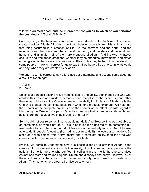### **"He who created death and life in order to test you as to which of you performs the best deeds."** [Surah Al-Mulk: 2]

So everything in the heavens or in the earth was indeed created by Allaah. There is no creator besides Allaah. All of us know that whatever occurs is from His actions, since that thing occurring is a creation of His. So the heavens and the earth, and the mountains and the rivers, and the sun and the moon, and the stars and the wind, and humans and animals – all of them are creations of Allaah. And likewise, whatever occurs to and from these creations, whether they be attributes, movements, and states of being – all of them are also creations of Allaah. This may be hard to understand for some people – how is it correct for us to say that we have a free choice in what we do and say, when they are created by Allaah?

We say: Yes, it is correct to say this, since our statements and actions come about as a result of two things:

- 1. Ability
- 2. Desire

So since a person's actions result from his desire and ability, then indeed the One who created this desire and made a person's heart receptive of the desire is none other than Allaah. Likewise, the One who created the ability in him is also Allaah. He is the One who creates the complete basis from which end products emanate. We hold that the Creator of the complete cause is also the Creator of the effect. So with regard to Him being the Creator of a person's actions, we say that a person's statements and actions are the result of two things: Desire and Ability.

So if he did not desire something, he would not do it. And likewise if he was not able to do something, he would not do it. This is because if he desired to do something but was unable to do it, he would not do it because of his inability to do it. And if he was able to do it, but didn't want to (i.e. had no desire to do it), he would also not do it. So since an action comes from a firm desire and a complete ability, then the One who creates this firm desire and complete ability is Allaah.

By this, we come to understand how it is possible for us to say that Allaah is the Creator of His servant's actions, but in reality, it is the servant who performs the actions. So he is the one who purifies himself and prays, he is the one who gives Zakaat and fasts and makes Hajj and 'Umrah and disobeys and obeys. However, all of these actions exist because of his desire and ability, which are both creations of Allaah. This matter is very clear, all praise be to Allaah.